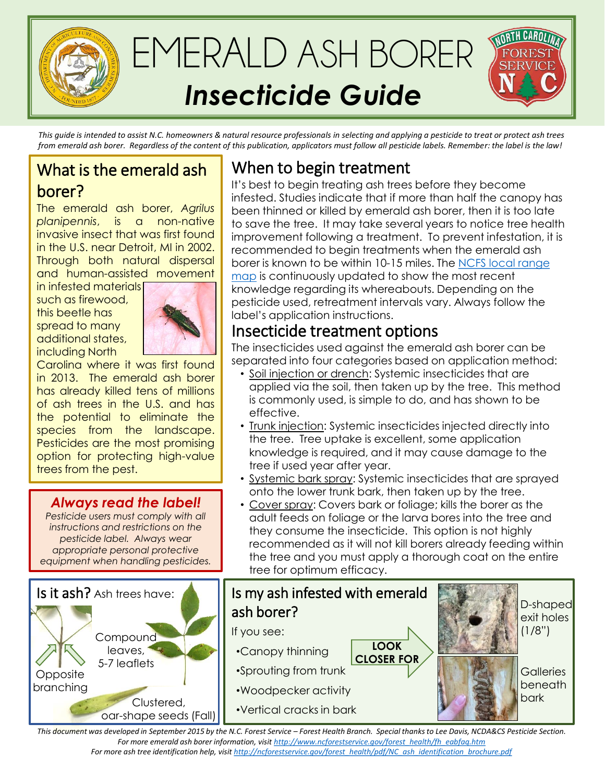

*This guide is intended to assist N.C. homeowners & natural resource professionals in selecting and applying a pesticide to treat or protect ash trees from emerald ash borer. Regardless of the content of this publication, applicators must follow all pesticide labels. Remember: the label is the law!*

## What is the emerald ash borer?

The emerald ash borer, *Agrilus planipennis*, is a non-native invasive insect that was first found in the U.S. near Detroit, MI in 2002. Through both natural dispersal and human-assisted movement

in infested materials such as firewood, this beetle has spread to many additional states, including North



Carolina where it was first found in 2013. The emerald ash borer has already killed tens of millions of ash trees in the U.S. and has the potential to eliminate the species from the landscape. Pesticides are the most promising option for protecting high-value trees from the pest.

### *Always read the label!*

*Pesticide users must comply with all instructions and restrictions on the pesticide label. Always wear appropriate personal protective equipment when handling pesticides.*

#### Is my ash infested with emerald ash borer? If you see: •Canopy thinning •Sprouting from trunk •Woodpecker activity •Vertical cracks in bark **LOOK CLOSER FOR** D-shaped exit holes  $(1/8")$ **Galleries** beneath bark **Compound** leaves, 5-7 leaflets **Opposite** branching Clustered, oar-shape seeds (Fall) Is it ash? Ash trees have:

# When to begin treatment

It's best to begin treating ash trees before they become infested. Studies indicate that if more than half the canopy has been thinned or killed by emerald ash borer, then it is too late to save the tree. It may take several years to notice tree health improvement following a treatment. To prevent infestation, it is recommended to begin treatments when the emerald ash [borer is known to be within 10-15 miles. The NCFS local range](http://www.ncforestservice.gov/forest_health/pdf/Map_EAB_NCTracking.pdf)  map is continuously updated to show the most recent knowledge regarding its whereabouts. Depending on the pesticide used, retreatment intervals vary. Always follow the label's application instructions.

## Insecticide treatment options

The insecticides used against the emerald ash borer can be separated into four categories based on application method:

- Soil injection or drench: Systemic insecticides that are applied via the soil, then taken up by the tree. This method is commonly used, is simple to do, and has shown to be effective.
- Trunk injection: Systemic insecticides injected directly into the tree. Tree uptake is excellent, some application knowledge is required, and it may cause damage to the tree if used year after year.
- Systemic bark spray: Systemic insecticides that are sprayed onto the lower trunk bark, then taken up by the tree.
- Cover spray: Covers bark or foliage; kills the borer as the adult feeds on foliage or the larva bores into the tree and they consume the insecticide. This option is not highly recommended as it will not kill borers already feeding within the tree and you must apply a thorough coat on the entire tree for optimum efficacy.

This document was developed in September 2015 by the N.C. Forest Service – Forest Health Branch. Special thanks to Lee Davis, NCDA&CS Pesticide Section. *For more emerald ash borer information, visit [http://www.ncforestservice.gov/forest\\_health/fh\\_eabfaq.htm](http://www.ncforestservice.gov/forest_health/fh_eabfaq.htm)*

*For more ash tree identification help, visit [http://ncforestservice.gov/forest\\_health/pdf/NC\\_ash\\_identification\\_brochure.pdf](http://ncforestservice.gov/forest_health/pdf/NC_ash_identification_brochure.pdf)*